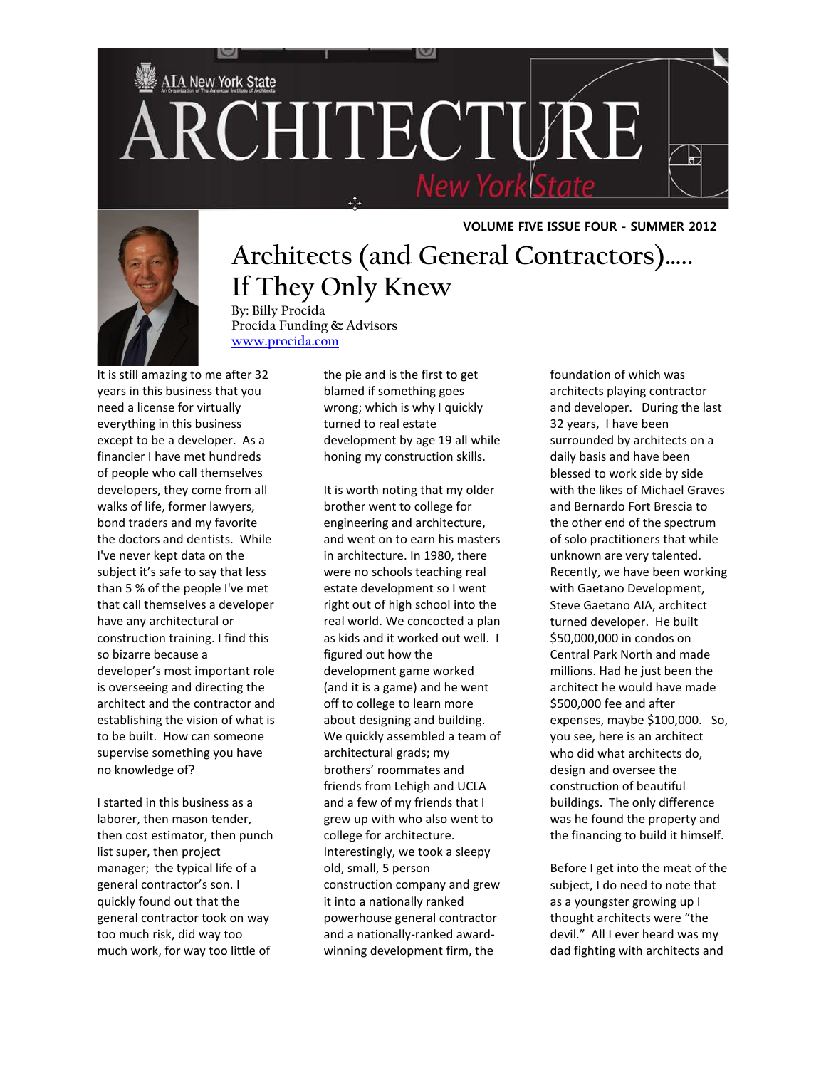



## **VOLUME FIVE ISSUE FOUR - SUMMER 2012**

## **Architects (and General Contractors)….. If They Only Knew**

**By: Billy Procida Procida Funding & Advisors [www.procida.com](http://www.procida.com/)**

It is still amazing to me after 32 years in this business that you need a license for virtually everything in this business except to be a developer. As a financier I have met hundreds of people who call themselves developers, they come from all walks of life, former lawyers, bond traders and my favorite the doctors and dentists. While I've never kept data on the subject it's safe to say that less than 5 % of the people I've met that call themselves a developer have any architectural or construction training. I find this so bizarre because a developer's most important role is overseeing and directing the architect and the contractor and establishing the vision of what is to be built. How can someone supervise something you have no knowledge of?

I started in this business as a laborer, then mason tender, then cost estimator, then punch list super, then project manager; the typical life of a general contractor's son. I quickly found out that the general contractor took on way too much risk, did way too much work, for way too little of

the pie and is the first to get blamed if something goes wrong; which is why I quickly turned to real estate development by age 19 all while honing my construction skills.

It is worth noting that my older brother went to college for engineering and architecture, and went on to earn his masters in architecture. In 1980, there were no schools teaching real estate development so I went right out of high school into the real world. We concocted a plan as kids and it worked out well. I figured out how the development game worked (and it is a game) and he went off to college to learn more about designing and building. We quickly assembled a team of architectural grads; my brothers' roommates and friends from Lehigh and UCLA and a few of my friends that I grew up with who also went to college for architecture. Interestingly, we took a sleepy old, small, 5 person construction company and grew it into a nationally ranked powerhouse general contractor and a nationally-ranked awardwinning development firm, the

foundation of which was architects playing contractor and developer. During the last 32 years, I have been surrounded by architects on a daily basis and have been blessed to work side by side with the likes of Michael Graves and Bernardo Fort Brescia to the other end of the spectrum of solo practitioners that while unknown are very talented. Recently, we have been working with Gaetano Development, Steve Gaetano AIA, architect turned developer. He built \$50,000,000 in condos on Central Park North and made millions. Had he just been the architect he would have made \$500,000 fee and after expenses, maybe \$100,000. So, you see, here is an architect who did what architects do, design and oversee the construction of beautiful buildings. The only difference was he found the property and the financing to build it himself.

Before I get into the meat of the subject, I do need to note that as a youngster growing up I thought architects were "the devil." All I ever heard was my dad fighting with architects and